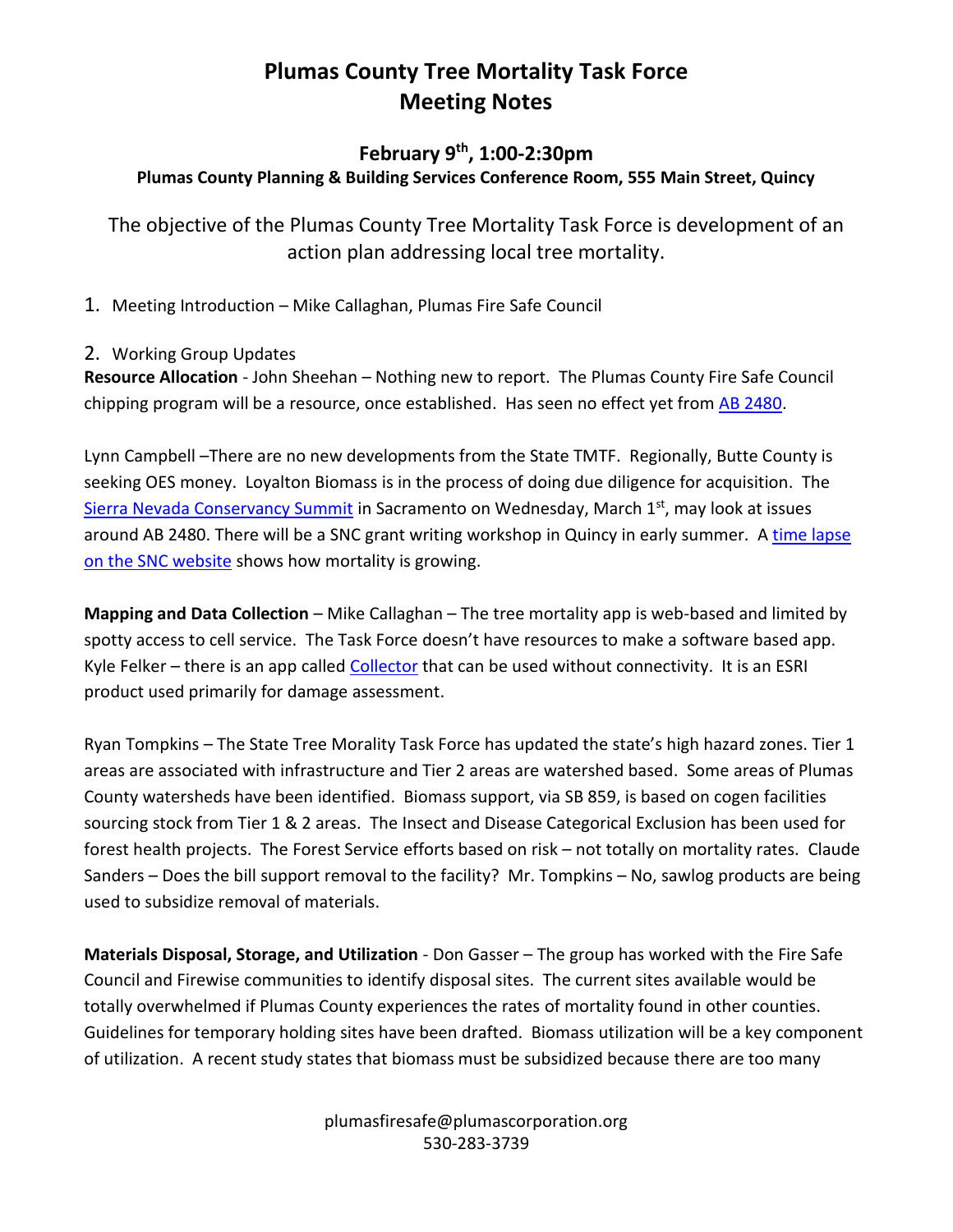# **Plumas County Tree Mortality Task Force Meeting Notes**

## **February 9th , 1:00-2:30pm**

### **Plumas County Planning & Building Services Conference Room, 555 Main Street, Quincy**

The objective of the Plumas County Tree Mortality Task Force is development of an action plan addressing local tree mortality.

1. Meeting Introduction – Mike Callaghan, Plumas Fire Safe Council

#### 2. Working Group Updates

**Resource Allocation** - John Sheehan – Nothing new to report. The Plumas County Fire Safe Council chipping program will be a resource, once established. Has seen no effect yet from [AB 2480.](https://leginfo.legislature.ca.gov/faces/billNavClient.xhtml?bill_id=201520160AB2480)

Lynn Campbell –There are no new developments from the State TMTF. Regionally, Butte County is seeking OES money. Loyalton Biomass is in the process of doing due diligence for acquisition. The [Sierra Nevada Conservancy Summit](http://www.sierranevadaconservancy.ca.gov/docs/2017summitdraftagenda.pdf) in Sacramento on Wednesday, March 1st, may look at issues around AB 2480. There will be a SNC grant writing workshop in Quincy in early summer. A [time lapse](http://www.sierranevadaconservancy.ca.gov/our-region/tree-mortality/tree-mortality)  [on the SNC website](http://www.sierranevadaconservancy.ca.gov/our-region/tree-mortality/tree-mortality) shows how mortality is growing.

**Mapping and Data Collection** – Mike Callaghan – The tree mortality app is web-based and limited by spotty access to cell service. The Task Force doesn't have resources to make a software based app. Kyle Felker – there is an app called [Collector](http://www.esri.com/products/collector-for-arcgis) that can be used without connectivity. It is an ESRI product used primarily for damage assessment.

Ryan Tompkins – The State Tree Morality Task Force has updated the state's high hazard zones. Tier 1 areas are associated with infrastructure and Tier 2 areas are watershed based. Some areas of Plumas County watersheds have been identified. Biomass support, via SB 859, is based on cogen facilities sourcing stock from Tier 1 & 2 areas. The Insect and Disease Categorical Exclusion has been used for forest health projects. The Forest Service efforts based on risk – not totally on mortality rates. Claude Sanders – Does the bill support removal to the facility? Mr. Tompkins – No, sawlog products are being used to subsidize removal of materials.

**Materials Disposal, Storage, and Utilization** - Don Gasser – The group has worked with the Fire Safe Council and Firewise communities to identify disposal sites. The current sites available would be totally overwhelmed if Plumas County experiences the rates of mortality found in other counties. Guidelines for temporary holding sites have been drafted. Biomass utilization will be a key component of utilization. A recent study states that biomass must be subsidized because there are too many

> plumasfiresafe@plumascorporation.org 530-283-3739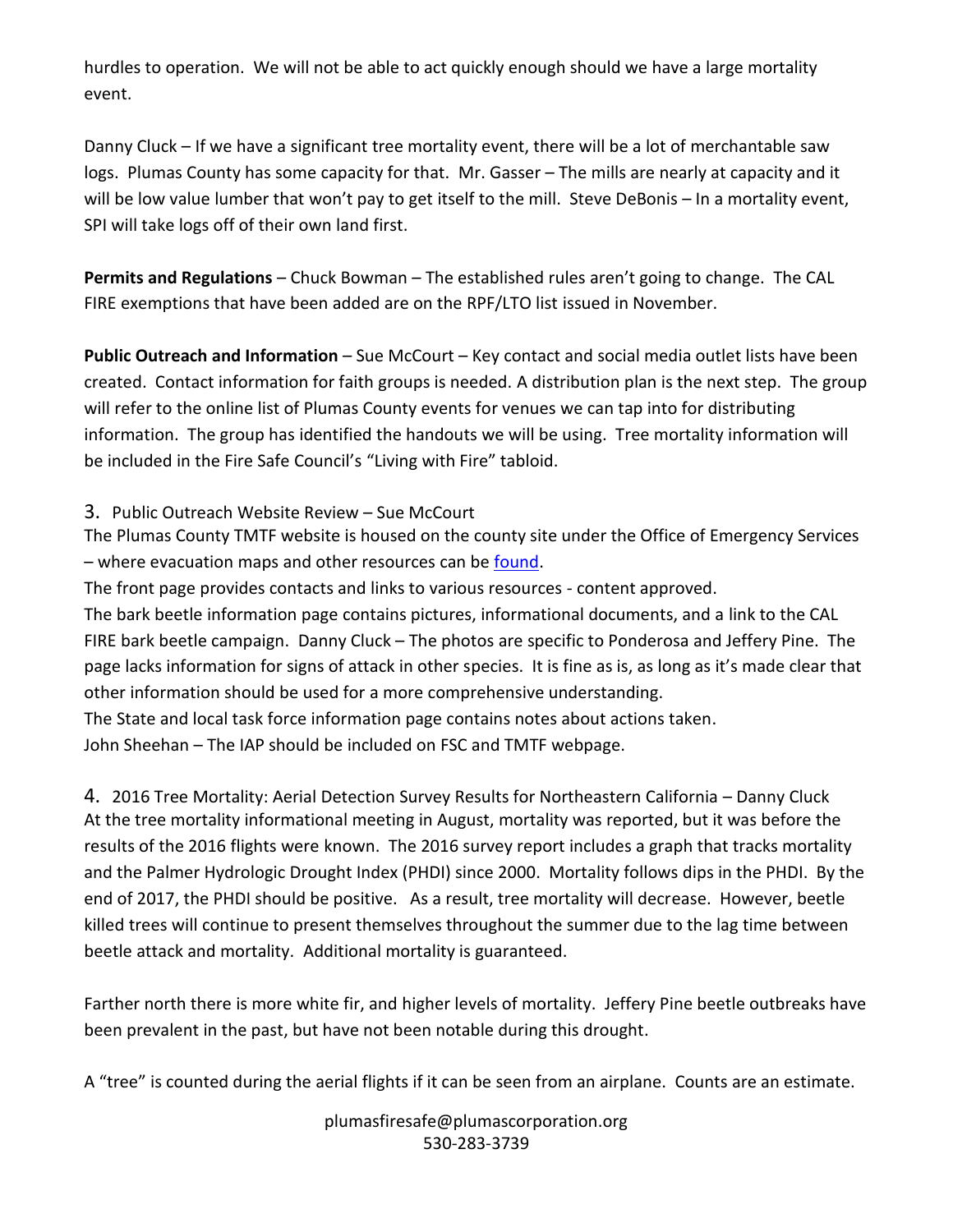hurdles to operation. We will not be able to act quickly enough should we have a large mortality event.

Danny Cluck – If we have a significant tree mortality event, there will be a lot of merchantable saw logs. Plumas County has some capacity for that. Mr. Gasser – The mills are nearly at capacity and it will be low value lumber that won't pay to get itself to the mill. Steve DeBonis – In a mortality event, SPI will take logs off of their own land first.

**Permits and Regulations** – Chuck Bowman – The established rules aren't going to change. The CAL FIRE exemptions that have been added are on the RPF/LTO list issued in November.

**Public Outreach and Information** – Sue McCourt – Key contact and social media outlet lists have been created. Contact information for faith groups is needed. A distribution plan is the next step. The group will refer to the online list of Plumas County events for venues we can tap into for distributing information. The group has identified the handouts we will be using. Tree mortality information will be included in the Fire Safe Council's "Living with Fire" tabloid.

#### 3. Public Outreach Website Review – Sue McCourt

The Plumas County TMTF website is housed on the county site under the Office of Emergency Services – where evacuation maps and other resources can be [found.](http://plumascounty.us/index.aspx?nid=2484)

The front page provides contacts and links to various resources - content approved.

The bark beetle information page contains pictures, informational documents, and a link to the CAL FIRE bark beetle campaign. Danny Cluck – The photos are specific to Ponderosa and Jeffery Pine. The page lacks information for signs of attack in other species. It is fine as is, as long as it's made clear that other information should be used for a more comprehensive understanding.

The State and local task force information page contains notes about actions taken. John Sheehan – The IAP should be included on FSC and TMTF webpage.

4. 2016 Tree Mortality: Aerial Detection Survey Results for Northeastern California – Danny Cluck At the tree mortality informational meeting in August, mortality was reported, but it was before the results of the 2016 flights were known. The 2016 survey report includes a graph that tracks mortality and the Palmer Hydrologic Drought Index (PHDI) since 2000. Mortality follows dips in the PHDI. By the end of 2017, the PHDI should be positive. As a result, tree mortality will decrease. However, beetle killed trees will continue to present themselves throughout the summer due to the lag time between beetle attack and mortality. Additional mortality is guaranteed.

Farther north there is more white fir, and higher levels of mortality. Jeffery Pine beetle outbreaks have been prevalent in the past, but have not been notable during this drought.

A "tree" is counted during the aerial flights if it can be seen from an airplane. Counts are an estimate.

plumasfiresafe@plumascorporation.org 530-283-3739